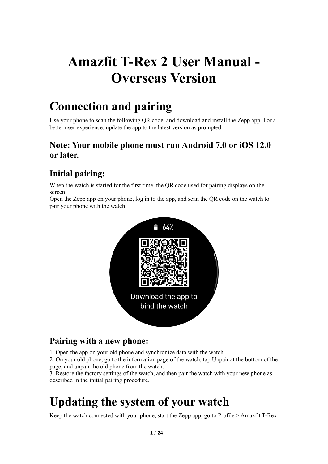# **Amazfit T-Rex 2 User Manual - Overseas Version**

# **Connection and pairing**

Use your phone to scan the following QR code, and download and install the Zepp app. For a better user experience, update the app to the latest version as prompted.

# **Note: Your mobile phone must run Android 7.0 or iOS 12.0 or later.**

# **Initial pairing:**

When the watch is started for the first time, the QR code used for pairing displays on the screen.

Open the Zepp app on your phone, log in to the app, and scan the QR code on the watch to pair your phone with the watch.



# **Pairing with a new phone:**

1. Open the app on your old phone and synchronize data with the watch.

2. On your old phone, go to the information page of the watch, tap Unpair at the bottom of the page, and unpair the old phone from the watch.

3. Restore the factory settings of the watch, and then pair the watch with your new phone as described in the initial pairing procedure.

# **Updating the system of your watch**

Keep the watch connected with your phone, start the Zepp app, go to Profile > Amazfit T-Rex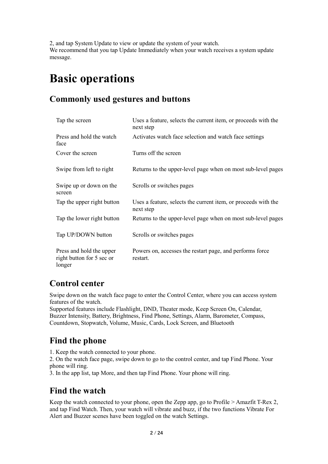2, and tap System Update to view or update the system of your watch. We recommend that you tap Update Immediately when your watch receives a system update message.

# **Basic operations**

# **Commonly used gestures and buttons**

| Tap the screen                                                  | Uses a feature, selects the current item, or proceeds with the<br>next step |
|-----------------------------------------------------------------|-----------------------------------------------------------------------------|
| Press and hold the watch<br>face                                | Activates watch face selection and watch face settings                      |
| Cover the screen                                                | Turns off the screen                                                        |
| Swipe from left to right                                        | Returns to the upper-level page when on most sub-level pages                |
| Swipe up or down on the<br>screen                               | Scrolls or switches pages                                                   |
| Tap the upper right button                                      | Uses a feature, selects the current item, or proceeds with the<br>next step |
| Tap the lower right button                                      | Returns to the upper-level page when on most sub-level pages                |
| Tap UP/DOWN button                                              | Scrolls or switches pages                                                   |
| Press and hold the upper<br>right button for 5 sec or<br>longer | Powers on, accesses the restart page, and performs force<br>restart.        |

# **Control center**

Swipe down on the watch face page to enter the Control Center, where you can access system features of the watch.

Supported features include Flashlight, DND, Theater mode, Keep Screen On, Calendar, Buzzer Intensity, Battery, Brightness, Find Phone, Settings, Alarm, Barometer, Compass, Countdown, Stopwatch, Volume, Music, Cards, Lock Screen, and Bluetooth

# **Find the phone**

1. Keep the watch connected to your phone.

2. On the watch face page, swipe down to go to the control center, and tap Find Phone. Your phone will ring.

3. In the app list, tap More, and then tap Find Phone. Your phone will ring.

# **Find the watch**

Keep the watch connected to your phone, open the Zepp app, go to Profile > Amazfit T-Rex 2, and tap Find Watch. Then, your watch will vibrate and buzz, if the two functions Vibrate For Alert and Buzzer scenes have been toggled on the watch Settings.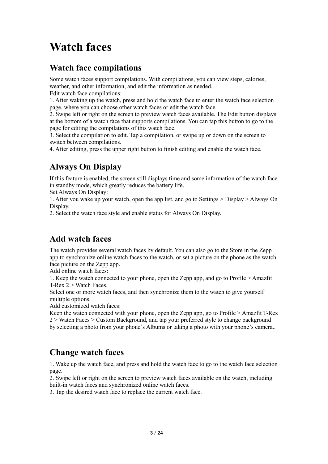# **Watch faces**

### **Watch face compilations**

Some watch faces support compilations. With compilations, you can view steps, calories, weather, and other information, and edit the information as needed. Edit watch face compilations:

1. After waking up the watch, press and hold the watch face to enter the watch face selection page, where you can choose other watch faces or edit the watch face.

2. Swipe left or right on the screen to preview watch faces available. The Edit button displays at the bottom of a watch face that supports compilations. You can tap this button to go to the page for editing the compilations of this watch face.

3. Select the compilation to edit. Tap a compilation, or swipe up or down on the screen to switch between compilations.

4. After editing, press the upper right button to finish editing and enable the watch face.

# **Always On Display**

If this feature is enabled, the screen still displays time and some information of the watch face in standby mode, which greatly reduces the battery life.

Set Always On Display:

1. After you wake up your watch, open the app list, and go to Settings > Display > Always On Display.

2. Select the watch face style and enable status for Always On Display.

# **Add watch faces**

The watch provides several watch faces by default. You can also go to the Store in the Zepp app to synchronize online watch faces to the watch, or set a picture on the phone as the watch face picture on the Zepp app.

Add online watch faces:

1. Keep the watch connected to your phone, open the Zepp app, and go to Profile > Amazfit T-Rex 2 > Watch Faces.

Select one or more watch faces, and then synchronize them to the watch to give yourself multiple options.

Add customized watch faces:

Keep the watch connected with your phone, open the Zepp app, go to Profile > Amazfit T-Rex 2 > Watch Faces > Custom Background, and tap your preferred style to change background by selecting a photo from your phone's Albums or taking a photo with your phone's camera..

# **Change watch faces**

1. Wake up the watch face, and press and hold the watch face to go to the watch face selection page.

2. Swipe left or right on the screen to preview watch faces available on the watch, including built-in watch faces and synchronized online watch faces.

3. Tap the desired watch face to replace the current watch face.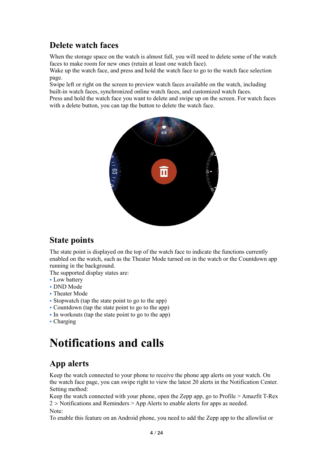# **Delete watch faces**

When the storage space on the watch is almost full, you will need to delete some of the watch faces to make room for new ones (retain at least one watch face).

Wake up the watch face, and press and hold the watch face to go to the watch face selection page.

Swipe left or right on the screen to preview watch faces available on the watch, including built-in watch faces, synchronized online watch faces, and customized watch faces.

Press and hold the watch face you want to delete and swipe up on the screen. For watch faces with a delete button, you can tap the button to delete the watch face.



# **State points**

The state point is displayed on the top of the watch face to indicate the functions currently enabled on the watch, such as the Theater Mode turned on in the watch or the Countdown app running in the background.

The supported display states are:

- Low battery
- DND Mode
- Theater Mode
- Stopwatch (tap the state point to go to the app)
- Countdown (tap the state point to go to the app)
- In workouts (tap the state point to go to the app)
- Charging

# **Notifications and calls**

# **App alerts**

Keep the watch connected to your phone to receive the phone app alerts on your watch. On the watch face page, you can swipe right to view the latest 20 alerts in the Notification Center. Setting method:

Keep the watch connected with your phone, open the Zepp app, go to Profile > Amazfit T-Rex 2 > Notifications and Reminders > App Alerts to enable alerts for apps as needed. Note:

To enable this feature on an Android phone, you need to add the Zepp app to the allowlist or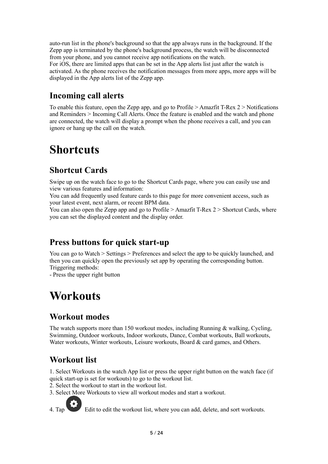auto-run list in the phone's background so that the app always runs in the background. If the Zepp app is terminated by the phone's background process, the watch will be disconnected from your phone, and you cannot receive app notifications on the watch. For iOS, there are limited apps that can be set in the App alerts list just after the watch is activated. As the phone receives the notification messages from more apps, more apps will be displayed in the App alerts list of the Zepp app.

# **Incoming call alerts**

To enable this feature, open the Zepp app, and go to Profile > Amazfit T-Rex 2 > Notifications and Reminders > Incoming Call Alerts. Once the feature is enabled and the watch and phone are connected, the watch will display a prompt when the phone receives a call, and you can ignore or hang up the call on the watch.

# **Shortcuts**

# **Shortcut Cards**

Swipe up on the watch face to go to the Shortcut Cards page, where you can easily use and view various features and information:

You can add frequently used feature cards to this page for more convenient access, such as your latest event, next alarm, or recent BPM data.

You can also open the Zepp app and go to Profile > Amazfit T-Rex 2 > Shortcut Cards, where you can set the displayed content and the display order.

# **Press buttons for quick start-up**

You can go to Watch > Settings > Preferences and select the app to be quickly launched, and then you can quickly open the previously set app by operating the corresponding button. Triggering methods:

- Press the upper right button

# **Workouts**

# **Workout modes**

The watch supports more than 150 workout modes, including Running & walking, Cycling, Swimming, Outdoor workouts, Indoor workouts, Dance, Combat workouts, Ball workouts, Water workouts, Winter workouts, Leisure workouts, Board & card games, and Others.

# **Workout list**

1. Select Workouts in the watch App list or press the upper right button on the watch face (if quick start-up is set for workouts) to go to the workout list.

2. Select the workout to start in the workout list.

3. Select More Workouts to view all workout modes and start a workout.



4. Tap Edit to edit the workout list, where you can add, delete, and sort workouts.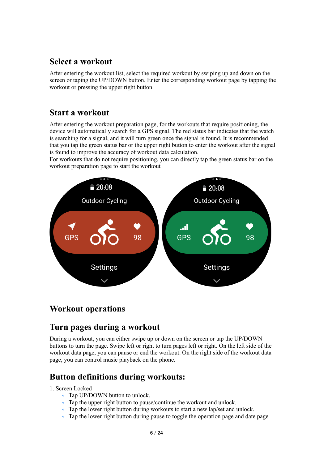### **Select a workout**

After entering the workout list, select the required workout by swiping up and down on the screen or taping the UP/DOWN button. Enter the corresponding workout page by tapping the workout or pressing the upper right button.

#### **Start a workout**

After entering the workout preparation page, for the workouts that require positioning, the device will automatically search for a GPS signal. The red status bar indicates that the watch is searching for a signal, and it will turn green once the signal is found. It is recommended that you tap the green status bar or the upper right button to enter the workout after the signal is found to improve the accuracy of workout data calculation.

For workouts that do not require positioning, you can directly tap the green status bar on the workout preparation page to start the workout



# **Workout operations**

# **Turn pages during a workout**

During a workout, you can either swipe up or down on the screen or tap the UP/DOWN buttons to turn the page. Swipe left or right to turn pages left or right. On the left side of the workout data page, you can pause or end the workout. On the right side of the workout data page, you can control music playback on the phone.

# **Button definitions during workouts:**

#### 1. Screen Locked

- Tap UP/DOWN button to unlock.
- Tap the upper right button to pause/continue the workout and unlock.
- Tap the lower right button during workouts to start a new lap/set and unlock.
- Tap the lower right button during pause to toggle the operation page and date page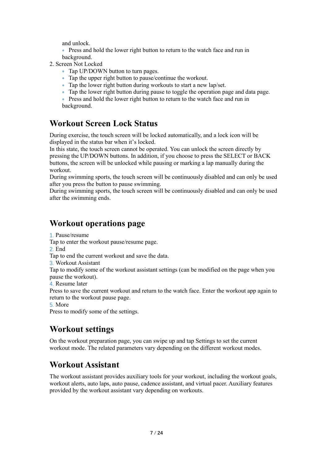and unlock.

• Press and hold the lower right button to return to the watch face and run in background.

- 2. Screen Not Locked
	- Tap UP/DOWN button to turn pages.
	- Tap the upper right button to pause/continue the workout.
	- Tap the lower right button during workouts to start a new lap/set.
	- Tap the lower right button during pause to toggle the operation page and data page.

• Press and hold the lower right button to return to the watch face and run in background.

### **Workout Screen Lock Status**

During exercise, the touch screen will be locked automatically, and a lock icon will be displayed in the status bar when it's locked.

In this state, the touch screen cannot be operated. You can unlock the screen directly by pressing the UP/DOWN buttons. In addition, if you choose to press the SELECT or BACK buttons, the screen will be unlocked while pausing or marking a lap manually during the workout.

During swimming sports, the touch screen will be continuously disabled and can only be used after you press the button to pause swimming.

During swimming sports, the touch screen will be continuously disabled and can only be used after the swimming ends.

# **Workout operations page**

1. Pause/resume

Tap to enter the workout pause/resume page.

2. End

Tap to end the current workout and save the data.

3. Workout Assistant

Tap to modify some of the workout assistant settings (can be modified on the page when you pause the workout).

4. Resume later

Press to save the current workout and return to the watch face. Enter the workout app again to return to the workout pause page.

5. More

Press to modify some of the settings.

# **Workout settings**

On the workout preparation page, you can swipe up and tap Settings to set the current workout mode. The related parameters vary depending on the different workout modes.

# **Workout Assistant**

The workout assistant provides auxiliary tools for your workout, including the workout goals, workout alerts, auto laps, auto pause, cadence assistant, and virtual pacer. Auxiliary features provided by the workout assistant vary depending on workouts.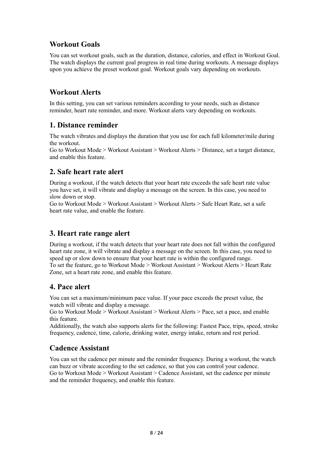#### **Workout Goals**

You can set workout goals, such as the duration, distance, calories, and effect in Workout Goal. The watch displays the current goal progress in real time during workouts. A message displays upon you achieve the preset workout goal. Workout goals vary depending on workouts.

#### **Workout Alerts**

In this setting, you can set various reminders according to your needs, such as distance reminder, heart rate reminder, and more. Workout alerts vary depending on workouts.

#### **1. Distance reminder**

The watch vibrates and displays the duration that you use for each full kilometer/mile during the workout.

Go to Workout Mode > Workout Assistant > Workout Alerts > Distance, set a target distance, and enable this feature.

#### **2. Safe heart rate alert**

During a workout, if the watch detects that your heart rate exceeds the safe heart rate value you have set, it will vibrate and display a message on the screen. In this case, you need to slow down or stop.

Go to Workout Mode > Workout Assistant > Workout Alerts > Safe Heart Rate, set a safe heart rate value, and enable the feature.

#### **3. Heart rate range alert**

During a workout, if the watch detects that your heart rate does not fall within the configured heart rate zone, it will vibrate and display a message on the screen. In this case, you need to speed up or slow down to ensure that your heart rate is within the configured range. To set the feature, go to Workout Mode > Workout Assistant > Workout Alerts > Heart Rate Zone, set a heart rate zone, and enable this feature.

#### **4. Pace alert**

You can set a maximum/minimum pace value. If your pace exceeds the preset value, the watch will vibrate and display a message.

Go to Workout Mode > Workout Assistant > Workout Alerts > Pace, set a pace, and enable this feature.

Additionally, the watch also supports alerts for the following: Fastest Pace, trips, speed, stroke frequency, cadence, time, calorie, drinking water, energy intake, return and rest period.

#### **Cadence Assistant**

You can set the cadence per minute and the reminder frequency. During a workout, the watch can buzz or vibrate according to the set cadence, so that you can control your cadence. Go to Workout Mode > Workout Assistant > Cadence Assistant, set the cadence per minute and the reminder frequency, and enable this feature.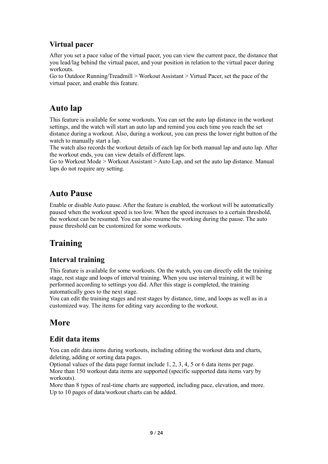### **Virtual pacer**

After you set a pace value of the virtual pacer, you can view the current pace, the distance that you lead/lag behind the virtual pacer, and your position in relation to the virtual pacer during workouts.

Go to Outdoor Running/Treadmill > Workout Assistant > Virtual Pacer, set the pace of the virtual pacer, and enable this feature.

# **Auto lap**

This feature is available for some workouts. You can set the auto lap distance in the workout settings, and the watch will start an auto lap and remind you each time you reach the set distance during a workout. Also, during a workout, you can press the lower right button of the watch to manually start a lap.

The watch also records the workout details of each lap for both manual lap and auto lap. After the workout ends, you can view details of different laps.

Go to Workout Mode > Workout Assistant > Auto Lap, and set the auto lap distance. Manual laps do not require any setting.

# **Auto Pause**

Enable or disable Auto pause. After the feature is enabled, the workout will be automatically paused when the workout speed is too low. When the speed increases to a certain threshold, the workout can be resumed. You can also resume the working during the pause. The auto pause threshold can be customized for some workouts.

# **Training**

#### **Interval training**

This feature is available for some workouts. On the watch, you can directly edit the training stage, rest stage and loops of interval training. When you use interval training, it will be performed according to settings you did. After this stage is completed, the training automatically goes to the next stage.

You can edit the training stages and rest stages by distance, time, and loops as well as in a customized way. The items for editing vary according to the workout.

# **More**

#### **Edit data items**

You can edit data items during workouts, including editing the workout data and charts, deleting, adding or sorting data pages.

Optional values of the data page format include 1, 2, 3, 4, 5 or 6 data items per page. More than 150 workout data items are supported (specific supported data items vary by workouts).

More than 8 types of real-time charts are supported, including pace, elevation, and more. Up to 10 pages of data/workout charts can be added.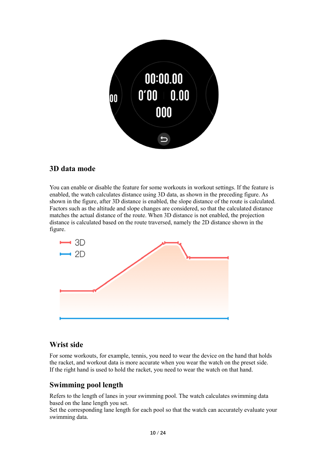

#### **3D data mode**

You can enable or disable the feature for some workouts in workout settings. If the feature is enabled, the watch calculates distance using 3D data, as shown in the preceding figure. As shown in the figure, after 3D distance is enabled, the slope distance of the route is calculated. Factors such as the altitude and slope changes are considered, so that the calculated distance matches the actual distance of the route. When 3D distance is not enabled, the projection distance is calculated based on the route traversed, namely the 2D distance shown in the figure.



#### **Wrist side**

For some workouts, for example, tennis, you need to wear the device on the hand that holds the racket, and workout data is more accurate when you wear the watch on the preset side. If the right hand is used to hold the racket, you need to wear the watch on that hand.

#### **Swimming pool length**

Refers to the length of lanes in your swimming pool. The watch calculates swimming data based on the lane length you set.

Set the corresponding lane length for each pool so that the watch can accurately evaluate your swimming data.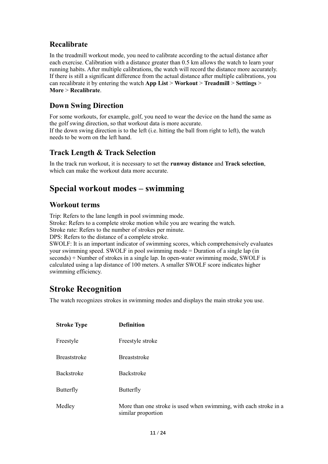#### **Recalibrate**

In the treadmill workout mode, you need to calibrate according to the actual distance after each exercise. Calibration with a distance greater than 0.5 km allows the watch to learn your running habits. After multiple calibrations, the watch will record the distance more accurately. If there is still a significant difference from the actual distance after multiple calibrations, you can recalibrate it by entering the watch **App List** > **Workout** > **Treadmill** > **Settings** > **More** > **Recalibrate**.

#### **Down Swing Direction**

For some workouts, for example, golf, you need to wear the device on the hand the same as the golf swing direction, so that workout data is more accurate. If the down swing direction is to the left (i.e. hitting the ball from right to left), the watch needs to be worn on the left hand.

#### **Track Length & Track Selection**

In the track run workout, it is necessary to set the **runway distance** and **Track selection**, which can make the workout data more accurate.

# **Special workout modes – swimming**

#### **Workout terms**

Trip: Refers to the lane length in pool swimming mode. Stroke: Refers to a complete stroke motion while you are wearing the watch. Stroke rate: Refers to the number of strokes per minute. DPS: Refers to the distance of a complete stroke.

SWOLF: It is an important indicator of swimming scores, which comprehensively evaluates your swimming speed. SWOLF in pool swimming mode = Duration of a single lap (in seconds) + Number of strokes in a single lap. In open-water swimming mode, SWOLF is calculated using a lap distance of 100 meters. A smaller SWOLF score indicates higher swimming efficiency.

# **Stroke Recognition**

The watch recognizes strokes in swimming modes and displays the main stroke you use.

| <b>Stroke Type</b>  | <b>Definition</b>                                                                       |
|---------------------|-----------------------------------------------------------------------------------------|
| Freestyle           | Freestyle stroke                                                                        |
| <b>Breaststroke</b> | <b>Breaststroke</b>                                                                     |
| <b>Backstroke</b>   | Backstroke                                                                              |
| Butterfly           | Butterfly                                                                               |
| Medley              | More than one stroke is used when swimming, with each stroke in a<br>similar proportion |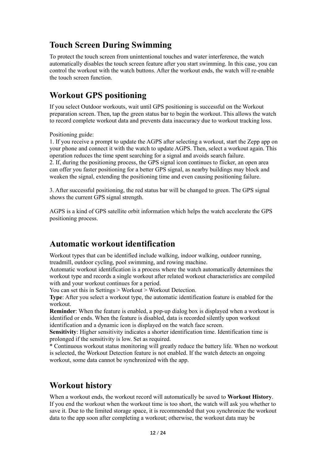# **Touch Screen During Swimming**

To protect the touch screen from unintentional touches and water interference, the watch automatically disables the touch screen feature after you start swimming. In this case, you can control the workout with the watch buttons. After the workout ends, the watch will re-enable the touch screen function.

# **Workout GPS positioning**

If you select Outdoor workouts, wait until GPS positioning is successful on the Workout preparation screen. Then, tap the green status bar to begin the workout. This allows the watch to record complete workout data and prevents data inaccuracy due to workout tracking loss.

Positioning guide:

1. If you receive a prompt to update the AGPS after selecting a workout, start the Zepp app on your phone and connect it with the watch to update AGPS. Then, select a workout again. This operation reduces the time spent searching for a signal and avoids search failure.

2. If, during the positioning process, the GPS signal icon continues to flicker, an open area can offer you faster positioning for a better GPS signal, as nearby buildings may block and weaken the signal, extending the positioning time and even causing positioning failure.

3. After successful positioning, the red status bar will be changed to green. The GPS signal shows the current GPS signal strength.

AGPS is a kind of GPS satellite orbit information which helps the watch accelerate the GPS positioning process.

# **Automatic workout identification**

Workout types that can be identified include walking, indoor walking, outdoor running, treadmill, outdoor cycling, pool swimming, and rowing machine.

Automatic workout identification is a process where the watch automatically determines the workout type and records a single workout after related workout characteristics are compiled with and your workout continues for a period.

You can set this in Settings > Workout > Workout Detection.

**Type**: After you select a workout type, the automatic identification feature is enabled for the workout.

**Reminder**: When the feature is enabled, a pop-up dialog box is displayed when a workout is identified or ends. When the feature is disabled, data is recorded silently upon workout identification and a dynamic icon is displayed on the watch face screen.

**Sensitivity**: Higher sensitivity indicates a shorter identification time. Identification time is prolonged if the sensitivity is low. Set as required.

\* Continuous workout status monitoring will greatly reduce the battery life. When no workout is selected, the Workout Detection feature is not enabled. If the watch detects an ongoing workout, some data cannot be synchronized with the app.

# **Workout history**

When a workout ends, the workout record will automatically be saved to **Workout History**. If you end the workout when the workout time is too short, the watch will ask you whether to save it. Due to the limited storage space, it is recommended that you synchronize the workout data to the app soon after completing a workout; otherwise, the workout data may be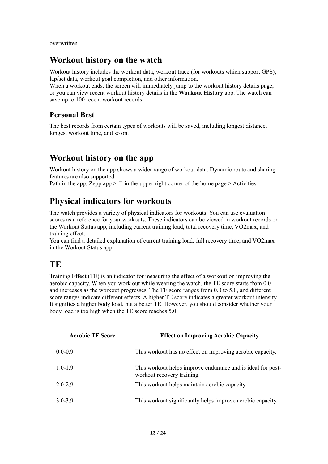overwritten.

### **Workout history on the watch**

Workout history includes the workout data, workout trace (for workouts which support GPS), lap/set data, workout goal completion, and other information.

When a workout ends, the screen will immediately jump to the workout history details page, or you can view recent workout history details in the **Workout History** app. The watch can save up to 100 recent workout records.

#### **Personal Best**

The best records from certain types of workouts will be saved, including longest distance, longest workout time, and so on.

# **Workout history on the app**

Workout history on the app shows a wider range of workout data. Dynamic route and sharing features are also supported.

Path in the app: Zepp app  $> \Box$  in the upper right corner of the home page  $>$  Activities

# **Physical indicators for workouts**

The watch provides a variety of physical indicators for workouts. You can use evaluation scores as a reference for your workouts. These indicators can be viewed in workout records or the Workout Status app, including current training load, total recovery time, VO2max, and training effect.

You can find a detailed explanation of current training load, full recovery time, and VO2max in the Workout Status app.

# **TE**

Training Effect (TE) is an indicator for measuring the effect of a workout on improving the aerobic capacity. When you work out while wearing the watch, the TE score starts from 0.0 and increases as the workout progresses. The TE score ranges from 0.0 to 5.0, and different score ranges indicate different effects. A higher TE score indicates a greater workout intensity. It signifies a higher body load, but a better TE. However, you should consider whether your body load is too high when the TE score reaches 5.0.

| <b>Aerobic TE Score</b> | <b>Effect on Improving Aerobic Capacity</b>                                               |
|-------------------------|-------------------------------------------------------------------------------------------|
| $0.0 - 0.9$             | This workout has no effect on improving aerobic capacity.                                 |
| $1.0 - 1.9$             | This workout helps improve endurance and is ideal for post-<br>workout recovery training. |
| $2.0 - 2.9$             | This workout helps maintain aerobic capacity.                                             |
| $3.0 - 3.9$             | This workout significantly helps improve aerobic capacity.                                |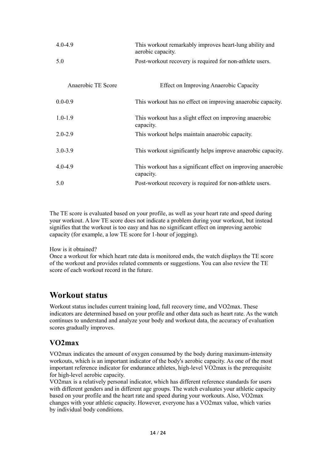| $4.0 - 4.9$        | This workout remarkably improves heart-lung ability and<br>aerobic capacity. |
|--------------------|------------------------------------------------------------------------------|
| 5.0                | Post-workout recovery is required for non-athlete users.                     |
| Anaerobic TE Score | Effect on Improving Anaerobic Capacity                                       |
| $0.0 - 0.9$        | This workout has no effect on improving anaerobic capacity.                  |
| $1.0 - 1.9$        | This workout has a slight effect on improving anaerobic<br>capacity.         |
| $2.0 - 2.9$        | This workout helps maintain anaerobic capacity.                              |
| $3.0 - 3.9$        | This workout significantly helps improve anaerobic capacity.                 |
| $4.0 - 4.9$        | This workout has a significant effect on improving anaerobic<br>capacity.    |
| 5.0                | Post-workout recovery is required for non-athlete users.                     |

The TE score is evaluated based on your profile, as well as your heart rate and speed during your workout. A low TE score does not indicate a problem during your workout, but instead signifies that the workout is too easy and has no significant effect on improving aerobic capacity (for example, a low TE score for 1-hour of jogging).

How is it obtained?

Once a workout for which heart rate data is monitored ends, the watch displays the TE score of the workout and provides related comments or suggestions. You can also review the TE score of each workout record in the future.

#### **Workout status**

Workout status includes current training load, full recovery time, and VO2max. These indicators are determined based on your profile and other data such as heart rate. As the watch continues to understand and analyze your body and workout data, the accuracy of evaluation scores gradually improves.

#### **VO2max**

VO2max indicates the amount of oxygen consumed by the body during maximum-intensity workouts, which is an important indicator of the body's aerobic capacity. As one of the most important reference indicator for endurance athletes, high-level VO2max is the prerequisite for high-level aerobic capacity.

VO2max is a relatively personal indicator, which has different reference standards for users with different genders and in different age groups. The watch evaluates your athletic capacity based on your profile and the heart rate and speed during your workouts. Also, VO2max changes with your athletic capacity. However, everyone has a VO2max value, which varies by individual body conditions.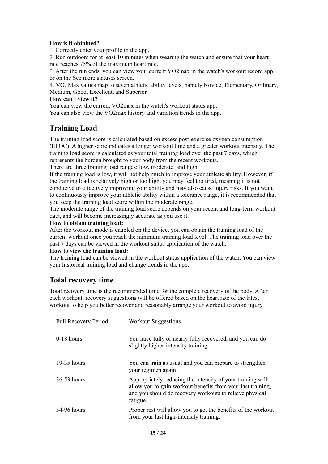#### **How is it obtained?**

1. Correctly enter your profile in the app.

2. Run outdoors for at least 10 minutes when wearing the watch and ensure that your heart rate reaches 75% of the maximum heart rate.

3. After the run ends, you can view your current VO2max in the watch's workout record app or on the See more statuses screen.

4. VO₂ Max values map to seven athletic ability levels, namely Novice, Elementary, Ordinary, Medium, Good, Excellent, and Superior.

#### **How can I view it?**

You can view the current VO2max in the watch's workout status app. You can also view the VO2max history and variation trends in the app.

#### **Training Load**

The training load score is calculated based on excess post-exercise oxygen consumption (EPOC). A higher score indicates a longer workout time and a greater workout intensity. The training load score is calculated as your total training load over the past 7 days, which represents the burden brought to your body from the recent workouts.

There are three training load ranges: low, moderate, and high.

If the training load is low, it will not help much to improve your athletic ability. However, if the training load is relatively high or too high, you may feel too tired, meaning it is not conducive to effectively improving your ability and may also cause injury risks. If you want to continuously improve your athletic ability within a tolerance range, it is recommended that you keep the training load score within the moderate range.

The moderate range of the training load score depends on your recent and long-term workout data, and will become increasingly accurate as you use it.

#### **How to obtain training load:**

After the workout mode is enabled on the device, you can obtain the training load of the current workout once you reach the minimum training load level. The training load over the past 7 days can be viewed in the workout status application of the watch.

#### **How to view the training load:**

The training load can be viewed in the workout status application of the watch. You can view your historical training load and change trends in the app.

#### **Total recovery time**

Total recovery time is the recommended time for the complete recovery of the body. After each workout, recovery suggestions will be offered based on the heart rate of the latest workout to help you better recover and reasonably arrange your workout to avoid injury.

| <b>Full Recovery Period</b> | <b>Workout Suggestions</b>                                                                                                                                                                       |
|-----------------------------|--------------------------------------------------------------------------------------------------------------------------------------------------------------------------------------------------|
| $0-18$ hours                | You have fully or nearly fully recovered, and you can do<br>slightly higher-intensity training.                                                                                                  |
| $19-35$ hours               | You can train as usual and you can prepare to strengthen<br>your regimen again.                                                                                                                  |
| $36-53$ hours               | Appropriately reducing the intensity of your training will<br>allow you to gain workout benefits from your last training,<br>and you should do recovery workouts to relieve physical<br>fatigue. |
| 54-96 hours                 | Proper rest will allow you to get the benefits of the workout<br>from your last high-intensity training.                                                                                         |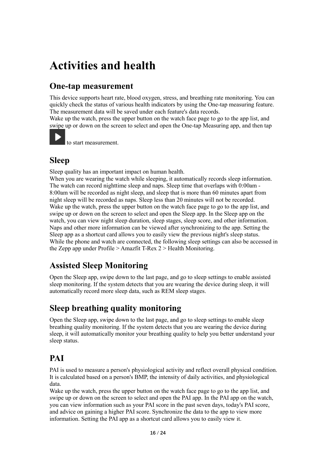# **Activities and health**

# **One-tap measurement**

This device supports heart rate, blood oxygen, stress, and breathing rate monitoring. You can quickly check the status of various health indicators by using the One-tap measuring feature. The measurement data will be saved under each feature's data records.

Wake up the watch, press the upper button on the watch face page to go to the app list, and swipe up or down on the screen to select and open the One-tap Measuring app, and then tap



to start measurement.

# **Sleep**

Sleep quality has an important impact on human health.

When you are wearing the watch while sleeping, it automatically records sleep information. The watch can record nighttime sleep and naps. Sleep time that overlaps with 0:00am - 8:00am will be recorded as night sleep, and sleep that is more than 60 minutes apart from night sleep will be recorded as naps. Sleep less than 20 minutes will not be recorded. Wake up the watch, press the upper button on the watch face page to go to the app list, and swipe up or down on the screen to select and open the Sleep app. In the Sleep app on the watch, you can view night sleep duration, sleep stages, sleep score, and other information. Naps and other more information can be viewed after synchronizing to the app. Setting the Sleep app as a shortcut card allows you to easily view the previous night's sleep status. While the phone and watch are connected, the following sleep settings can also be accessed in the Zepp app under Profile > Amazfit T-Rex 2 > Health Monitoring.

# **Assisted Sleep Monitoring**

Open the Sleep app, swipe down to the last page, and go to sleep settings to enable assisted sleep monitoring. If the system detects that you are wearing the device during sleep, it will automatically record more sleep data, such as REM sleep stages.

# **Sleep breathing quality monitoring**

Open the Sleep app, swipe down to the last page, and go to sleep settings to enable sleep breathing quality monitoring. If the system detects that you are wearing the device during sleep, it will automatically monitor your breathing quality to help you better understand your sleep status.

# **PAI**

PAI is used to measure a person's physiological activity and reflect overall physical condition. It is calculated based on a person's BMP, the intensity of daily activities, and physiological data.

Wake up the watch, press the upper button on the watch face page to go to the app list, and swipe up or down on the screen to select and open the PAI app. In the PAI app on the watch, you can view information such as your PAI score in the past seven days, today's PAI score, and advice on gaining a higher PAI score. Synchronize the data to the app to view more information. Setting the PAI app as a shortcut card allows you to easily view it.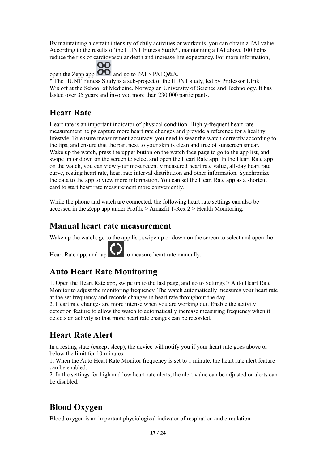By maintaining a certain intensity of daily activities or workouts, you can obtain a PAI value. According to the results of the HUNT Fitness Study\*, maintaining a PAI above 100 helps reduce the risk of cardiovascular death and increase life expectancy. For more information,

open the Zepp app  $\overline{OD}$  and go to PAI > PAI Q&A.

\* The HUNT Fitness Study is a sub-project of the HUNT study, led by Professor Ulrik Wisloff at the School of Medicine, Norwegian University of Science and Technology. It has lasted over 35 years and involved more than 230,000 participants.

# **Heart Rate**

Heart rate is an important indicator of physical condition. Highly-frequent heart rate measurement helps capture more heart rate changes and provide a reference for a healthy lifestyle. To ensure measurement accuracy, you need to wear the watch correctly according to the tips, and ensure that the part next to your skin is clean and free of sunscreen smear. Wake up the watch, press the upper button on the watch face page to go to the app list, and swipe up or down on the screen to select and open the Heart Rate app. In the Heart Rate app on the watch, you can view your most recently measured heart rate value, all-day heart rate curve, resting heart rate, heart rate interval distribution and other information. Synchronize the data to the app to view more information. You can set the Heart Rate app as a shortcut card to start heart rate measurement more conveniently.

While the phone and watch are connected, the following heart rate settings can also be accessed in the Zepp app under Profile > Amazfit T-Rex 2 > Health Monitoring.

# **Manual heart rate measurement**

Wake up the watch, go to the app list, swipe up or down on the screen to select and open the

Heart Rate app, and  $\tan \theta$  to measure heart rate manually.

# **Auto Heart Rate Monitoring**

1. Open the Heart Rate app, swipe up to the last page, and go to Settings > Auto Heart Rate Monitor to adjust the monitoring frequency. The watch automatically measures your heart rate at the set frequency and records changes in heart rate throughout the day.

2. Heart rate changes are more intense when you are working out. Enable the activity detection feature to allow the watch to automatically increase measuring frequency when it detects an activity so that more heart rate changes can be recorded.

# **Heart Rate Alert**

In a resting state (except sleep), the device will notify you if your heart rate goes above or below the limit for 10 minutes.

1. When the Auto Heart Rate Monitor frequency is set to 1 minute, the heart rate alert feature can be enabled.

2. In the settings for high and low heart rate alerts, the alert value can be adjusted or alerts can be disabled.

# **Blood Oxygen**

Blood oxygen is an important physiological indicator of respiration and circulation.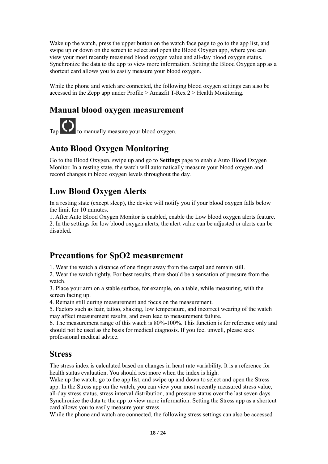Wake up the watch, press the upper button on the watch face page to go to the app list, and swipe up or down on the screen to select and open the Blood Oxygen app, where you can view your most recently measured blood oxygen value and all-day blood oxygen status. Synchronize the data to the app to view more information. Setting the Blood Oxygen app as a shortcut card allows you to easily measure your blood oxygen.

While the phone and watch are connected, the following blood oxygen settings can also be accessed in the Zepp app under Profile > Amazfit T-Rex 2 > Health Monitoring.

### **Manual blood oxygen measurement**

 $T_{\text{ap}}$   $\bigodot$  to manually measure your blood oxygen.

# **Auto Blood Oxygen Monitoring**

Go to the Blood Oxygen, swipe up and go to **Settings** page to enable Auto Blood Oxygen Monitor. In a resting state, the watch will automatically measure your blood oxygen and record changes in blood oxygen levels throughout the day.

# **Low Blood Oxygen Alerts**

In a resting state (except sleep), the device will notify you if your blood oxygen falls below the limit for 10 minutes.

1. After Auto Blood Oxygen Monitor is enabled, enable the Low blood oxygen alerts feature. 2. In the settings for low blood oxygen alerts, the alert value can be adjusted or alerts can be disabled.

### **Precautions for SpO2 measurement**

1. Wear the watch a distance of one finger away from the carpal and remain still.

2. Wear the watch tightly. For best results, there should be a sensation of pressure from the watch.

3. Place your arm on a stable surface, for example, on a table, while measuring, with the screen facing up.

4. Remain still during measurement and focus on the measurement.

5. Factors such as hair, tattoo, shaking, low temperature, and incorrect wearing of the watch may affect measurement results, and even lead to measurement failure.

6. The measurement range of this watch is 80%-100%. This function is for reference only and should not be used as the basis for medical diagnosis. If you feel unwell, please seek professional medical advice.

### **Stress**

The stress index is calculated based on changes in heart rate variability. It is a reference for health status evaluation. You should rest more when the index is high.

Wake up the watch, go to the app list, and swipe up and down to select and open the Stress app. In the Stress app on the watch, you can view your most recently measured stress value, all-day stress status, stress interval distribution, and pressure status over the last seven days. Synchronize the data to the app to view more information. Setting the Stress app as a shortcut card allows you to easily measure your stress.

While the phone and watch are connected, the following stress settings can also be accessed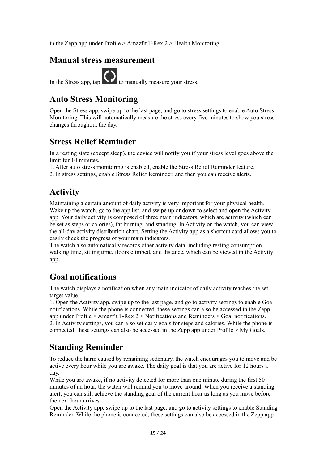in the Zepp app under Profile > Amazfit T-Rex 2 > Health Monitoring.

### **Manual stress measurement**

In the Stress app,  $\tan \theta$  to manually measure your stress.

### **Auto Stress Monitoring**

Open the Stress app, swipe up to the last page, and go to stress settings to enable Auto Stress Monitoring. This will automatically measure the stress every five minutes to show you stress changes throughout the day.

# **Stress Relief Reminder**

In a resting state (except sleep), the device will notify you if your stress level goes above the limit for 10 minutes.

1. After auto stress monitoring is enabled, enable the Stress Relief Reminder feature.

2. In stress settings, enable Stress Relief Reminder, and then you can receive alerts.

# **Activity**

Maintaining a certain amount of daily activity is very important for your physical health. Wake up the watch, go to the app list, and swipe up or down to select and open the Activity app. Your daily activity is composed of three main indicators, which are activity (which can be set as steps or calories), fat burning, and standing. In Activity on the watch, you can view the all-day activity distribution chart. Setting the Activity app as a shortcut card allows you to easily check the progress of your main indicators.

The watch also automatically records other activity data, including resting consumption, walking time, sitting time, floors climbed, and distance, which can be viewed in the Activity app.

# **Goal notifications**

The watch displays a notification when any main indicator of daily activity reaches the set target value.

1. Open the Activity app, swipe up to the last page, and go to activity settings to enable Goal notifications. While the phone is connected, these settings can also be accessed in the Zepp app under Profile > Amazfit T-Rex 2 > Notifications and Reminders > Goal notifications. 2. In Activity settings, you can also set daily goals for steps and calories. While the phone is connected, these settings can also be accessed in the Zepp app under Profile > My Goals.

# **Standing Reminder**

To reduce the harm caused by remaining sedentary, the watch encourages you to move and be active every hour while you are awake. The daily goal is that you are active for 12 hours a day.

While you are awake, if no activity detected for more than one minute during the first 50 minutes of an hour, the watch will remind you to move around. When you receive a standing alert, you can still achieve the standing goal of the current hour as long as you move before the next hour arrives.

Open the Activity app, swipe up to the last page, and go to activity settings to enable Standing Reminder. While the phone is connected, these settings can also be accessed in the Zepp app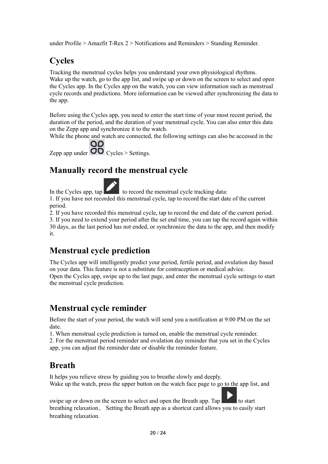under Profile > Amazfit T-Rex 2 > Notifications and Reminders > Standing Reminder.

# **Cycles**

Tracking the menstrual cycles helps you understand your own physiological rhythms. Wake up the watch, go to the app list, and swipe up or down on the screen to select and open the Cycles app. In the Cycles app on the watch, you can view information such as menstrual cycle records and predictions. More information can be viewed after synchronizing the data to the app.

Before using the Cycles app, you need to enter the start time of your most recent period, the duration of the period, and the duration of your menstrual cycle. You can also enter this data on the Zepp app and synchronize it to the watch.

While the phone and watch are connected, the following settings can also be accessed in the

QQ Zepp app under  $\overline{OD}$  Cycles > Settings.

# **Manually record the menstrual cycle**

In the Cycles app,  $tan \theta$  to record the menstrual cycle tracking data:

1. If you have not recorded this menstrual cycle, tap to record the start date of the current period.

2. If you have recorded this menstrual cycle, tap to record the end date of the current period. 3. If you need to extend your period after the set end time, you can tap the record again within 30 days, as the last period has not ended, or synchronize the data to the app, and then modify it.

# **Menstrual cycle prediction**

The Cycles app will intelligently predict your period, fertile period, and ovulation day based on your data. This feature is not a substitute for contraception or medical advice. Open the Cycles app, swipe up to the last page, and enter the menstrual cycle settings to start the menstrual cycle prediction.

# **Menstrual cycle reminder**

Before the start of your period, the watch will send you a notification at 9:00 PM on the set date.

1. When menstrual cycle prediction is turned on, enable the menstrual cycle reminder.

2. For the menstrual period reminder and ovulation day reminder that you set in the Cycles app, you can adjust the reminder date or disable the reminder feature.

# **Breath**

It helps you relieve stress by guiding you to breathe slowly and deeply. Wake up the watch, press the upper button on the watch face page to go to the app list, and

swipe up or down on the screen to select and open the Breath app. Tap to start breathing relaxation。 Setting the Breath app as a shortcut card allows you to easily start breathing relaxation.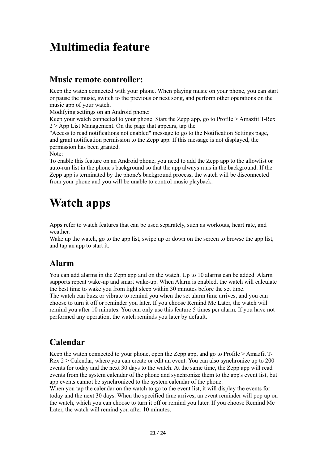# **Multimedia feature**

### **Music remote controller:**

Keep the watch connected with your phone. When playing music on your phone, you can start or pause the music, switch to the previous or next song, and perform other operations on the music app of your watch.

Modifying settings on an Android phone:

Keep your watch connected to your phone. Start the Zepp app, go to Profile > Amazfit T-Rex  $2$  > App List Management. On the page that appears, tap the

"Access to read notifications not enabled" message to go to the Notification Settings page, and grant notification permission to the Zepp app. If this message is not displayed, the permission has been granted.

Note:

To enable this feature on an Android phone, you need to add the Zepp app to the allowlist or auto-run list in the phone's background so that the app always runs in the background. If the Zepp app is terminated by the phone's background process, the watch will be disconnected from your phone and you will be unable to control music playback.

# **Watch apps**

Apps refer to watch features that can be used separately, such as workouts, heart rate, and weather.

Wake up the watch, go to the app list, swipe up or down on the screen to browse the app list, and tap an app to start it.

# **Alarm**

You can add alarms in the Zepp app and on the watch. Up to 10 alarms can be added. Alarm supports repeat wake-up and smart wake-up. When Alarm is enabled, the watch will calculate the best time to wake you from light sleep within 30 minutes before the set time. The watch can buzz or vibrate to remind you when the set alarm time arrives, and you can choose to turn it off or reminder you later. If you choose Remind Me Later, the watch will remind you after 10 minutes. You can only use this feature 5 times per alarm. If you have not performed any operation, the watch reminds you later by default.

# **Calendar**

Keep the watch connected to your phone, open the Zepp app, and go to Profile > Amazfit T-Rex 2 > Calendar, where you can create or edit an event. You can also synchronize up to 200 events for today and the next 30 days to the watch. At the same time, the Zepp app will read events from the system calendar of the phone and synchronize them to the app's event list, but app events cannot be synchronized to the system calendar of the phone.

When you tap the calendar on the watch to go to the event list, it will display the events for today and the next 30 days. When the specified time arrives, an event reminder will pop up on the watch, which you can choose to turn it off or remind you later. If you choose Remind Me Later, the watch will remind you after 10 minutes.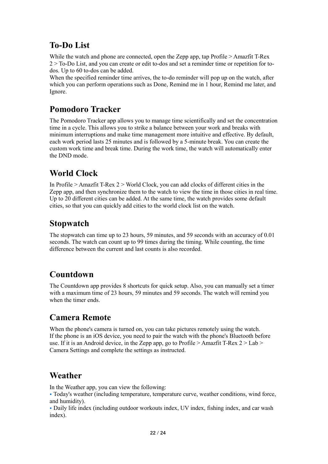# **To-Do List**

While the watch and phone are connected, open the Zepp app, tap Profile  $\geq$  Amazfit T-Rex 2 > To-Do List, and you can create or edit to-dos and set a reminder time or repetition for todos. Up to 60 to-dos can be added.

When the specified reminder time arrives, the to-do reminder will pop up on the watch, after which you can perform operations such as Done, Remind me in 1 hour, Remind me later, and Ignore.

# **Pomodoro Tracker**

The Pomodoro Tracker app allows you to manage time scientifically and set the concentration time in a cycle. This allows you to strike a balance between your work and breaks with minimum interruptions and make time management more intuitive and effective. By default, each work period lasts 25 minutes and is followed by a 5-minute break. You can create the custom work time and break time. During the work time, the watch will automatically enter the DND mode.

# **World Clock**

In Profile > Amazfit T-Rex 2 > World Clock, you can add clocks of different cities in the Zepp app, and then synchronize them to the watch to view the time in those cities in real time. Up to 20 different cities can be added. At the same time, the watch provides some default cities, so that you can quickly add cities to the world clock list on the watch.

# **Stopwatch**

The stopwatch can time up to 23 hours, 59 minutes, and 59 seconds with an accuracy of 0.01 seconds. The watch can count up to 99 times during the timing. While counting, the time difference between the current and last counts is also recorded.

# **Countdown**

The Countdown app provides 8 shortcuts for quick setup. Also, you can manually set a timer with a maximum time of 23 hours, 59 minutes and 59 seconds. The watch will remind you when the timer ends.

# **Camera Remote**

When the phone's camera is turned on, you can take pictures remotely using the watch. If the phone is an iOS device, you need to pair the watch with the phone's Bluetooth before use. If it is an Android device, in the Zepp app, go to Profile  $\geq$  Amazfit T-Rex 2  $\geq$  Lab  $\geq$ Camera Settings and complete the settings as instructed.

# **Weather**

In the Weather app, you can view the following:

• Today's weather (including temperature, temperature curve, weather conditions, wind force, and humidity).

• Daily life index (including outdoor workouts index, UV index, fishing index, and car wash index).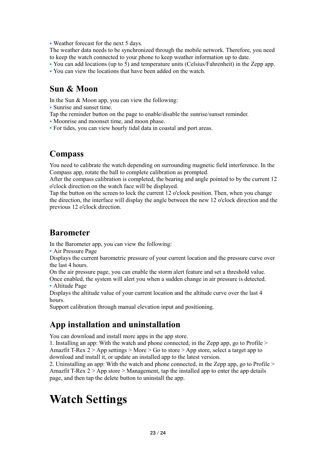• Weather forecast for the next 5 days.

The weather data needs to be synchronized through the mobile network. Therefore, you need to keep the watch connected to your phone to keep weather information up to date.

- You can add locations (up to 5) and temperature units (Celsius/Fahrenheit) in the Zepp app.
- You can view the locations that have been added on the watch.

### **Sun & Moon**

In the Sun & Moon app, you can view the following:

- Sunrise and sunset time.
- Tap the reminder button on the page to enable/disable the sunrise/sunset reminder.
- Moonrise and moonset time, and moon phase.
- For tides, you can view hourly tidal data in coastal and port areas.

### **Compass**

You need to calibrate the watch depending on surrounding magnetic field interference. In the Compass app, rotate the ball to complete calibration as prompted.

After the compass calibration is completed, the bearing and angle pointed to by the current 12 o'clock direction on the watch face will be displayed.

Tap the button on the screen to lock the current 12 o'clock position. Then, when you change the direction, the interface will display the angle between the new 12 o'clock direction and the previous 12 o'clock direction.

### **Barometer**

In the Barometer app, you can view the following:

• Air Pressure Page

Displays the current barometric pressure of your current location and the pressure curve over the last 4 hours.

On the air pressure page, you can enable the storm alert feature and set a threshold value.

Once enabled, the system will alert you when a sudden change in air pressure is detected. • Altitude Page

Displays the altitude value of your current location and the altitude curve over the last 4 hours.

Support calibration through manual elevation input and positioning.

# **App installation and uninstallation**

You can download and install more apps in the app store.

1. Installing an app: With the watch and phone connected, in the Zepp app, go to Profile > Amazfit T-Rex  $2 >$  App settings  $>$  More  $>$  Go to store  $>$  App store, select a target app to download and install it, or update an installed app to the latest version.

2. Uninstalling an app: With the watch and phone connected, in the Zepp app, go to Profile > Amazfit T-Rex  $2 >$  App store  $>$  Management, tap the installed app to enter the app details page, and then tap the delete button to uninstall the app.

# **Watch Settings**